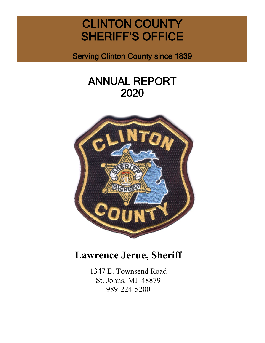# CLINTON COUNTY SHERIFF'S OFFICE

Serving Clinton County since 1839

# ANNUAL REPORT 2020



# **Lawrence Jerue, Sheriff**

1347 E. Townsend Road St. Johns, MI 48879 989-224-5200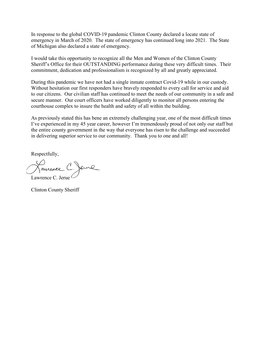In response to the global COVID-19 pandemic Clinton County declared a locate state of emergency in March of 2020. The state of emergency has continued long into 2021. The State of Michigan also declared a state of emergency.

I would take this opportunity to recognize all the Men and Women of the Clinton County Sheriff's Office for their OUTSTANDING performance during these very difficult times. Their commitment, dedication and professionalism is recognized by all and greatly appreciated.

During this pandemic we have not had a single inmate contract Covid-19 while in our custody. Without hesitation our first responders have bravely responded to every call for service and aid to our citizens. Our civilian staff has continued to meet the needs of our community in a safe and secure manner. Our court officers have worked diligently to monitor all persons entering the courthouse complex to insure the health and safety of all within the building.

As previously stated this has bene an extremely challenging year, one of the most difficult times I've experienced in my 45 year career, however I'm tremendously proud of not only our staff but the entire county government in the way that everyone has risen to the challenge and succeeded in delivering superior service to our community. Thank you to one and all!

Respectfully,

Lawrence C. Jerue

Clinton County Sheriff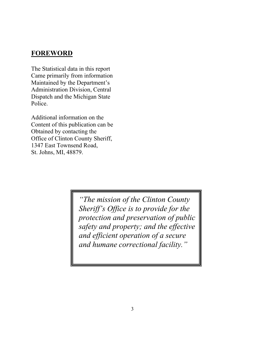# **FOREWORD**

The Statistical data in this report Came primarily from information Maintained by the Department's Administration Division, Central Dispatch and the Michigan State Police.

Additional information on the Content of this publication can be Obtained by contacting the Office of Clinton County Sheriff, 1347 East Townsend Road, St. Johns, MI, 48879.

> *"The mission of the Clinton County Sheriff's Office is to provide for the protection and preservation of public safety and property; and the effective and efficient operation of a secure and humane correctional facility."*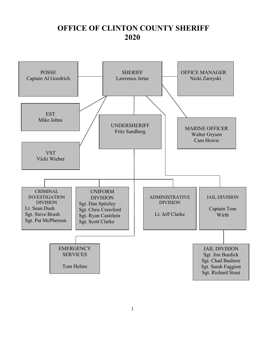# **OFFICE OF CLINTON COUNTY SHERIFF 2020**

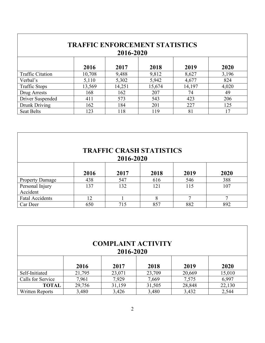| <b>TRAFFIC ENFORCEMENT STATISTICS</b><br>2016-2020 |        |        |        |        |       |
|----------------------------------------------------|--------|--------|--------|--------|-------|
|                                                    | 2016   | 2017   | 2018   | 2019   | 2020  |
| <b>Traffic Citation</b>                            | 10,708 | 9,488  | 9,812  | 8,627  | 3,196 |
| Verbal's                                           | 5,110  | 5,302  | 5,942  | 4,677  | 824   |
| <b>Traffic Stops</b>                               | 13,569 | 14,251 | 15,674 | 14,197 | 4,020 |
| Drug Arrests                                       | 168    | 162    | 207    | 74     | 49    |
| Driver Suspended                                   | 411    | 573    | 543    | 423    | 206   |
| Drunk Driving                                      | 162    | 184    | 201    | 227    | 125   |
| <b>Seat Belts</b>                                  | 123    | 118    | 119    | 81     | 17    |

 $\mathbf I$ 

| <b>TRAFFIC CRASH STATISTICS</b> |           |      |      |      |              |  |
|---------------------------------|-----------|------|------|------|--------------|--|
|                                 | 2016-2020 |      |      |      |              |  |
|                                 | 2016      | 2017 | 2018 | 2019 | 2020         |  |
| <b>Property Damage</b>          | 438       | 547  | 616  | 546  | 388          |  |
| Personal Injury<br>Accident     | 137       | 132  | 121  | 115  | 107          |  |
| <b>Fatal Accidents</b>          | 12        |      | 8    | 7    | $\mathbf{r}$ |  |
| Car Deer                        | 650       | 715  | 857  | 882  | 892          |  |

|                        |        | <b>COMPLAINT ACTIVITY</b><br>2016-2020 |        |        |        |
|------------------------|--------|----------------------------------------|--------|--------|--------|
|                        | 2016   | 2017                                   | 2018   | 2019   | 2020   |
| Self-Initiated         | 21,795 | 23,071                                 | 23,709 | 20,669 | 15,010 |
| Calls for Service      | 7,961  | 7,929                                  | 7,669  | 7,575  | 6,997  |
| <b>TOTAL</b>           | 29,756 | 31,159                                 | 31,505 | 28,848 | 22,130 |
| <b>Written Reports</b> | 3,480  | 3,426                                  | 3,480  | 3,432  | 2,544  |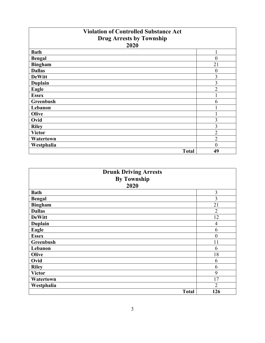| <b>Violation of Controlled Substance Act</b> |                |
|----------------------------------------------|----------------|
| <b>Drug Arrests by Township</b>              |                |
| 2020                                         |                |
| <b>Bath</b>                                  |                |
| <b>Bengal</b>                                | $\overline{0}$ |
| <b>Bingham</b>                               | 21             |
| <b>Dallas</b>                                | $\overline{0}$ |
| <b>DeWitt</b>                                | 3              |
| <b>Duplain</b>                               | 3              |
| Eagle                                        | $\overline{2}$ |
| <b>Essex</b>                                 |                |
| Greenbush                                    | 6              |
| Lebanon                                      |                |
| Olive                                        |                |
| Ovid                                         | 3              |
| <b>Riley</b>                                 | 3              |
| <b>Victor</b>                                | $\overline{2}$ |
| Watertown                                    | $\overline{2}$ |
| Westphalia                                   | $\overline{0}$ |
| <b>Total</b>                                 | 49             |

| <b>Drunk Driving Arrests</b> |                  |
|------------------------------|------------------|
| <b>By Township</b>           |                  |
| 2020                         |                  |
| <b>Bath</b>                  | 3                |
| <b>Bengal</b>                | 3                |
| <b>Bingham</b>               | 21               |
| <b>Dallas</b>                | $\overline{2}$   |
| <b>DeWitt</b>                | 12               |
| <b>Duplain</b>               | $\overline{4}$   |
| Eagle                        | 6                |
| <b>Essex</b>                 | $\boldsymbol{0}$ |
| Greenbush                    | 11               |
| Lebanon                      | 6                |
| Olive                        | 18               |
| Ovid                         | 6                |
| <b>Riley</b>                 | 6                |
| <b>Victor</b>                | 9                |
| Watertown                    | 17               |
| Westphalia                   | $\overline{2}$   |
| <b>Total</b>                 | 126              |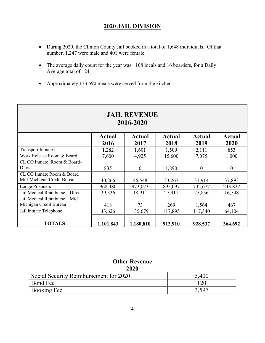# **2020 JAIL DIVISION**

- During 2020, the Clinton County Jail booked in a total of 1,648 individuals. Of that number, 1,247 were male and 401 were female.
- The average daily count for the year was: 108 locals and 16 boarders, for a Daily Average total of 124.
- Approximately 133,590 meals were served from the kitchen.

| <b>JAIL REVENUE</b><br>2016-2020 |           |                |         |          |                |  |
|----------------------------------|-----------|----------------|---------|----------|----------------|--|
|                                  | Actual    | Actual         | Actual  | Actual   | Actual         |  |
|                                  | 2016      | 2017           | 2018    | 2019     | 2020           |  |
| <b>Transport Inmates</b>         | 1,282     | 1,601          | 1,509   | 2,111    | 853            |  |
| Work Release Room & Board        | 7,600     | 4,925          | 15,600  | 7,075    | 1,000          |  |
| CL CO Inmate Room & Board-       |           |                |         |          |                |  |
| Direct                           | 835       | $\overline{0}$ | 1,890   | $\theta$ | $\overline{0}$ |  |
| CL CO Inmate Room & Board        |           |                |         |          |                |  |
| Mid-Michigan Credit Bureau       | 40,266    | 46,548         | 33,267  | 31,914   | 37,893         |  |
| Lodge Prisoners                  | 968,480   | 973,073        | 895,097 | 742,677  | 243,827        |  |
| Jail Medical Reimburse - Direct  | 39,336    | 18,911         | 27,911  | 25,856   | 16,548         |  |
| Jail Medical Reimburse - Mid     |           |                |         |          |                |  |
| Michigan Credit Bureau           | 418       | 73             | 269     | 1,564    | 467            |  |
| Jail Inmate Telephone            | 43,626    | 135,679        | 117,895 | 117,340  | 64,104         |  |
| <b>TOTALS</b>                    | 1,101,843 | 1,180,810      | 913,910 | 928,537  | 364,692        |  |

| <b>Other Revenue</b><br>2020           |       |  |  |
|----------------------------------------|-------|--|--|
| Social Security Reimbursement for 2020 | 5,400 |  |  |
| Bond Fee                               | 120   |  |  |
| Booking Fee                            | 3.597 |  |  |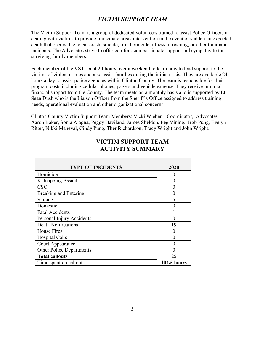# *VICTIM SUPPORT TEAM*

The Victim Support Team is a group of dedicated volunteers trained to assist Police Officers in dealing with victims to provide immediate crisis intervention in the event of sudden, unexpected death that occurs due to car crash, suicide, fire, homicide, illness, drowning, or other traumatic incidents. The Advocates strive to offer comfort, compassionate support and sympathy to the surviving family members.

Each member of the VST spent 20-hours over a weekend to learn how to lend support to the victims of violent crimes and also assist families during the initial crisis. They are available 24 hours a day to assist police agencies within Clinton County. The team is responsible for their program costs including cellular phones, pagers and vehicle expense. They receive minimal financial support from the County. The team meets on a monthly basis and is supported by Lt. Sean Dush who is the Liaison Officer from the Sheriff's Office assigned to address training needs, operational evaluation and other organizational concerns.

Clinton County Victim Support Team Members: Vicki Wieber—Coordinator, Advocates— Aaron Baker, Sonia Alagna, Peggy Haviland, James Sheldon, Peg Vining, Bob Pung, Evelyn Ritter, Nikki Maneval, Cindy Pung, Ther Richardson, Tracy Wright and John Wright.

| <b>TYPE OF INCIDENTS</b>        | 2020               |
|---------------------------------|--------------------|
|                                 |                    |
| Homicide                        | $\mathbf{0}$       |
| Kidnapping Assault              | 0                  |
| <b>CSC</b>                      | 0                  |
| <b>Breaking and Entering</b>    | 0                  |
| Suicide                         | 5                  |
| Domestic                        | 0                  |
| <b>Fatal Accidents</b>          |                    |
| Personal Injury Accidents       |                    |
| <b>Death Notifications</b>      | 19                 |
| <b>House Fires</b>              | 0                  |
| Hospital Calls                  | 0                  |
| <b>Court Appearance</b>         |                    |
| <b>Other Police Departments</b> |                    |
| <b>Total callouts</b>           | 25                 |
| Time spent on callouts          | <b>104.5 hours</b> |

## **VICTIM SUPPORT TEAM ACTIVITY SUMMARY**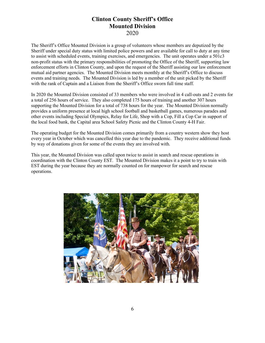#### **Clinton County Sheriff's Office Mounted Division** 2020

The Sheriff's Office Mounted Division is a group of volunteers whose members are deputized by the Sheriff under special duty status with limited police powers and are available for call to duty at any time to assist with scheduled events, training exercises, and emergencies. The unit operates under a 501c3 non-profit status with the primary responsibilities of promoting the Office of the Sheriff, supporting law enforcement efforts in Clinton County, and upon the request of the Sheriff assisting our law enforcement mutual aid partner agencies. The Mounted Division meets monthly at the Sheriff's Office to discuss events and training needs. The Mounted Division is led by a member of the unit picked by the Sheriff with the rank of Captain and a Liaison from the Sheriff's Office sworn full time staff.

In 2020 the Mounted Division consisted of 33 members who were involved in 4 call-outs and 2 events for a total of 256 hours of service. They also completed 175 hours of training and another 307 hours supporting the Mounted Division for a total of 738 hours for the year. The Mounted Division normally provides a uniform presence at local high school football and basketball games, numerous parades and other events including Special Olympics, Relay for Life, Shop with a Cop, Fill a Cop Car in support of the local food bank, the Capital area School Safety Picnic and the Clinton County 4-H Fair.

The operating budget for the Mounted Division comes primarily from a country western show they host every year in October which was cancelled this year due to the pandemic. They receive additional funds by way of donations given for some of the events they are involved with.

This year, the Mounted Division was called upon twice to assist in search and rescue operations in coordination with the Clinton County EST. The Mounted Division makes it a point to try to train with EST during the year because they are normally counted on for manpower for search and rescue operations.

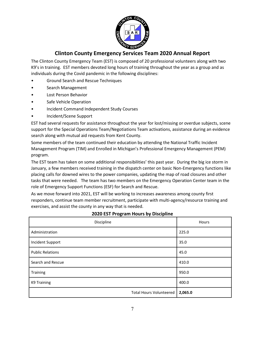

# **Clinton County Emergency Services Team 2020 Annual Report**

The Clinton County Emergency Team (EST) is composed of 20 professional volunteers along with two K9's in training. EST members devoted long hours of training throughout the year as a group and as individuals during the Covid pandemic in the following disciplines:

- Ground Search and Rescue Techniques
- Search Management
- Lost Person Behavior
- Safe Vehicle Operation
- Incident Command Independent Study Courses
- Incident/Scene Support

EST had several requests for assistance throughout the year for lost/missing or overdue subjects, scene support for the Special Operations Team/Negotiations Team activations, assistance during an evidence search along with mutual aid requests from Kent County.

Some members of the team continued their education by attending the National Traffic Incident Management Program (TIM) and Enrolled in Michigan's Professional Emergency Management (PEM) program.

The EST team has taken on some additional responsibilities' this past year. During the big ice storm in January, a few members received training in the dispatch center on basic Non-Emergency functions like placing calls for downed wires to the power companies, updating the map of road closures and other tasks that were needed. The team has two members on the Emergency Operation Center team in the role of Emergency Support Functions (ESF) for Search and Rescue.

As we move forward into 2021, EST will be working to increases awareness among county first responders, continue team member recruitment, participate with multi-agency/resource training and exercises, and assist the county in any way that is needed.

| Discipline                     | Hours   |
|--------------------------------|---------|
| Administration                 | 225.0   |
| Incident Support               | 35.0    |
| <b>Public Relations</b>        | 45.0    |
| Search and Rescue              | 410.0   |
| Training                       | 950.0   |
| <b>K9 Training</b>             | 400.0   |
| <b>Total Hours Volunteered</b> | 2,065.0 |

#### **2020 EST Program Hours by Discipline**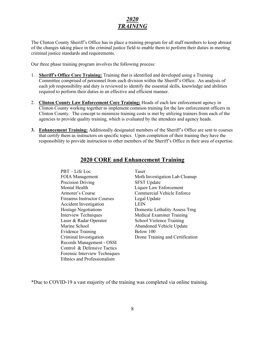# *2020 TRAINING*

The Clinton County Sheriff's Office has in place a training program for all staff members to keep abreast of the changes taking place in the criminal justice field to enable them to perform their duties in meeting criminal justice standards and requirements.

Our three phase training program involves the following process:

- 1. **Sheriff's Office Core Training:** Training that is identified and developed using a Training Committee comprised of personnel from each division within the Sheriff's Office. An analysis of each job responsibility and duty is reviewed to identify the essential skills, knowledge and abilities required to perform their duties in an effective and efficient manner.
- 2. **Clinton County Law Enforcement Core Training:** Heads of each law enforcement agency in Clinton County working together to implement common training for the law enforcement officers in Clinton County. The concept to minimize training costs is met by utilizing trainers from each of the agencies to provide quality training, which is evaluated by the attendees and agency heads.
- **3. Enhancement Training:** Additionally designated members of the Sheriff's Office are sent to courses that certify them as instructors on specific topics. Upon completion of their training they have the responsibility to provide instruction to other members of the Sheriff's Office in their area of expertise.

| PBT – Life Loc                     | Taser                             |
|------------------------------------|-----------------------------------|
| <b>FOIA</b> Management             | Meth Investigation Lab Cleanup    |
| Precision Driving                  | <b>SFST Update</b>                |
| Mental Health                      | Liquor Law Enforcement            |
| Armorer's Course                   | <b>Commercial Vehicle Enforce</b> |
| <b>Firearms Instructor Courses</b> | Legal Update                      |
| Accident Investigation             | <b>LEIN</b>                       |
| <b>Hostage Negotiations</b>        | Domestic Lethality Assess Trng    |
| <b>Interview Techniques</b>        | Medical Examiner Training         |
| Laser & Radar Operator             | <b>School Violence Training</b>   |
| Marine School                      | Abandoned Vehicle Update          |
| <b>Evidence Training</b>           | Below 100                         |
| Criminal Investigation             | Drone Training and Certification  |
| Records Management - OSSI          |                                   |
| Control & Defensive Tactics        |                                   |
| Forensic Interview Techniques      |                                   |
| Ethnics and Professionalism        |                                   |

#### **2020 CORE and Enhancement Training**

\*Due to COVID-19 a vast majority of the training was completed via online training.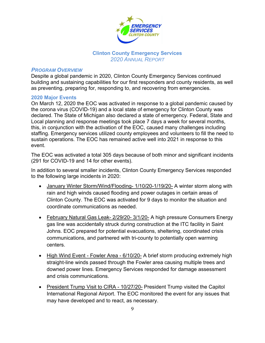

#### **Clinton County Emergency Services** *2020 ANNUAL REPORT*

#### *PROGRAM OVERVIEW*

Despite a global pandemic in 2020, Clinton County Emergency Services continued building and sustaining capabilities for our first responders and county residents, as well as preventing, preparing for, responding to, and recovering from emergencies.

#### **2020 Major Events**

On March 12, 2020 the EOC was activated in response to a global pandemic caused by the corona virus (COVID-19) and a local state of emergency for Clinton County was declared. The State of Michigan also declared a state of emergency. Federal, State and Local planning and response meetings took place 7 days a week for several months, this, in conjunction with the activation of the EOC, caused many challenges including staffing. Emergency services utilized county employees and volunteers to fill the need to sustain operations. The EOC has remained active well into 2021 in response to this event.

The EOC was activated a total 305 days because of both minor and significant incidents (291 for COVID-19 and 14 for other events).

In addition to several smaller incidents, Clinton County Emergency Services responded to the following large incidents in 2020:

- January Winter Storm/Wind/Flooding- 1/10/20-1/19/20- A winter storm along with rain and high winds caused flooding and power outages in certain areas of Clinton County. The EOC was activated for 9 days to monitor the situation and coordinate communications as needed.
- February Natural Gas Leak- 2/29/20- 3/1/20- A high pressure Consumers Energy gas line was accidentally struck during construction at the ITC facility in Saint Johns. EOC prepared for potential evacuations, sheltering, coordinated crisis communications, and partnered with tri-county to potentially open warming centers.
- High Wind Event Fowler Area 6/10/20- A brief storm producing extremely high straight-line winds passed through the Fowler area causing multiple trees and downed power lines. Emergency Services responded for damage assessment and crisis communications.
- President Trump Visit to CIRA 10/27/20- President Trump visited the Capitol International Regional Airport. The EOC monitored the event for any issues that may have developed and to react, as necessary.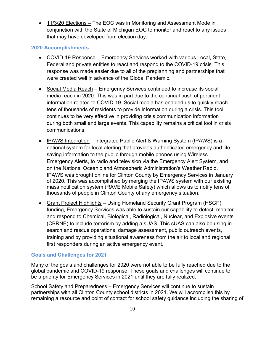• 11/3/20 Elections – The EOC was in Monitoring and Assessment Mode in conjunction with the State of Michigan EOC to monitor and react to any issues that may have developed from election day.

#### **2020 Accomplishments**

- COVID-19 Response Emergency Services worked with various Local, State, Federal and private entities to react and respond to the COVID-19 crisis. This response was made easier due to all of the preplanning and partnerships that were created well in advance of the Global Pandemic.
- Social Media Reach Emergency Services continued to increase its social media reach in 2020. This was in part due to the continual push of pertinent information related to COVID-19. Social media has enabled us to quickly reach tens of thousands of residents to provide information during a crisis. This tool continues to be very effective in providing crisis communication information during both small and large events. This capability remains a critical tool in crisis communications.
- IPAWS Integration Integrated Public Alert & Warning System (IPAWS) is a national system for local alerting that provides authenticated emergency and lifesaving information to the public through mobile phones using Wireless Emergency Alerts, to radio and television via the Emergency Alert System, and on the National Oceanic and Atmospheric Administration's Weather Radio. IPAWS was brought online for Clinton County by Emergency Services in January of 2020. This was accomplished by merging the IPAWS system with our existing mass notification system (RAVE Mobile Safety) which allows us to notify tens of thousands of people in Clinton County of any emergency situation.
- Grant Project Highlights Using Homeland Security Grant Program (HSGP) funding, Emergency Services was able to sustain our capability to detect, monitor and respond to Chemical, Biological, Radiological, Nuclear, and Explosive events (CBRNE) to include terrorism by adding a sUAS. This sUAS can also be using in search and rescue operations, damage assessment, public outreach events, training and by providing situational awareness from the air to local and regional first responders during an active emergency event.

#### **Goals and Challenges for 2021**

Many of the goals and challenges for 2020 were not able to be fully reached due to the global pandemic and COVID-19 response. These goals and challenges will continue to be a priority for Emergency Services in 2021 until they are fully realized.

School Safety and Preparedness – Emergency Services will continue to sustain partnerships with all Clinton County school districts in 2021. We will accomplish this by remaining a resource and point of contact for school safety guidance including the sharing of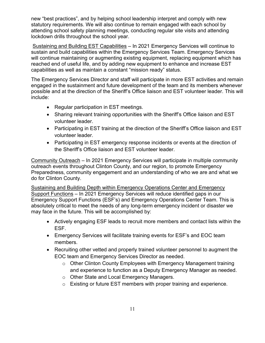new "best practices", and by helping school leadership interpret and comply with new statutory requirements. We will also continue to remain engaged with each school by attending school safety planning meetings, conducting regular site visits and attending lockdown drills throughout the school year.

Sustaining and Building EST Capabilities – In 2021 Emergency Services will continue to sustain and build capabilities within the Emergency Services Team. Emergency Services will continue maintaining or augmenting existing equipment, replacing equipment which has reached end of useful life, and by adding new equipment to enhance and increase EST capabilities as well as maintain a constant "mission ready" status.

The Emergency Services Director and staff will participate in more EST activities and remain engaged in the sustainment and future development of the team and its members whenever possible and at the direction of the Sheriff's Office liaison and EST volunteer leader. This will include:

- Regular participation in EST meetings.
- Sharing relevant training opportunities with the Sheriff's Office liaison and EST volunteer leader.
- Participating in EST training at the direction of the Sheriff's Office liaison and EST volunteer leader.
- Participating in EST emergency response incidents or events at the direction of the Sheriff's Office liaison and EST volunteer leader.

Community Outreach – In 2021 Emergency Services will participate in multiple community outreach events throughout Clinton County, and our region, to promote Emergency Preparedness, community engagement and an understanding of who we are and what we do for Clinton County.

Sustaining and Building Depth within Emergency Operations Center and Emergency Support Functions – In 2021 Emergency Services will reduce identified gaps in our Emergency Support Functions (ESF's) and Emergency Operations Center Team. This is absolutely critical to meet the needs of any long-term emergency incident or disaster we may face in the future. This will be accomplished by:

- Actively engaging ESF leads to recruit more members and contact lists within the ESF.
- Emergency Services will facilitate training events for ESF's and EOC team members.
- Recruiting other vetted and properly trained volunteer personnel to augment the EOC team and Emergency Services Director as needed.
	- o Other Clinton County Employees with Emergency Management training and experience to function as a Deputy Emergency Manager as needed.
	- o Other State and Local Emergency Managers.
	- o Existing or future EST members with proper training and experience.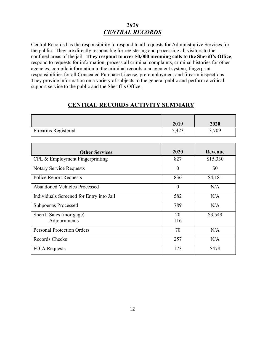## *2020 CENTRAL RECORDS*

Central Records has the responsibility to respond to all requests for Administrative Services for the public. They are directly responsible for registering and processing all visitors to the confined areas of the jail. **They respond to over 50,000 incoming calls to the Sheriff's Office**, respond to requests for information, process all criminal complaints, criminal histories for other agencies, compile information in the criminal records management system, fingerprint responsibilities for all Concealed Purchase License, pre-employment and firearm inspections. They provide information on a variety of subjects to the general public and perform a critical support service to the public and the Sheriff's Office.

|                            | 2019  | 2020  |
|----------------------------|-------|-------|
| <b>Firearms Registered</b> | 5,423 | 3,709 |

### **CENTRAL RECORDS ACTIVITY SUMMARY**

| <b>Other Services</b>                    | 2020      | <b>Revenue</b> |
|------------------------------------------|-----------|----------------|
| CPL & Employment Fingerprinting          | 827       | \$15,330       |
| <b>Notary Service Requests</b>           | $\theta$  | \$0            |
| <b>Police Report Requests</b>            | 836       | \$4,181        |
| Abandoned Vehicles Processed             | $\theta$  | N/A            |
| Individuals Screened for Entry into Jail | 582       | N/A            |
| <b>Subpoenas Processed</b>               | 789       | N/A            |
| Sheriff Sales (mortgage)<br>Adjournments | 20<br>116 | \$3,549        |
| <b>Personal Protection Orders</b>        | 70        | N/A            |
| Records Checks                           | 257       | N/A            |
| <b>FOIA Requests</b>                     | 173       | \$478          |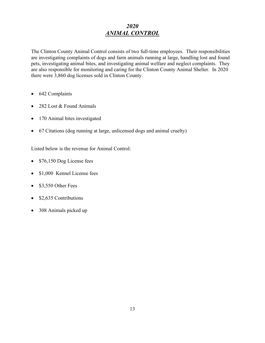# *2020 ANIMAL CONTROL*

The Clinton County Animal Control consists of two full-time employees. Their responsibilities are investigating complaints of dogs and farm animals running at large, handling lost and found pets, investigating animal bites, and investigating animal welfare and neglect complaints. They are also responsible for monitoring and caring for the Clinton County Animal Shelter. In 2020 there were 3,860 dog licenses sold in Clinton County.

- 642 Complaints
- 282 Lost & Found Animals
- 170 Animal bites investigated
- 67 Citations (dog running at large, unlicensed dogs and animal cruelty)

Listed below is the revenue for Animal Control:

- \$76,150 Dog License fees
- \$1,000 Kennel License fees
- \$3,550 Other Fees
- \$2,635 Contributions
- 308 Animals picked up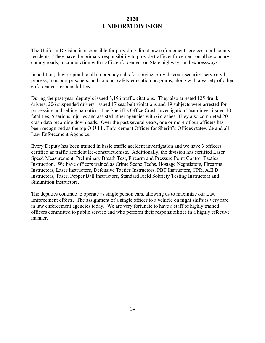### **2020 UNIFORM DIVISION**

The Uniform Division is responsible for providing direct law enforcement services to all county residents. They have the primary responsibility to provide traffic enforcement on all secondary county roads, in conjunction with traffic enforcement on State highways and expressways.

In addition, they respond to all emergency calls for service, provide court security, serve civil process, transport prisoners, and conduct safety education programs, along with a variety of other enforcement responsibilities.

During the past year, deputy's issued 3,196 traffic citations. They also arrested 125 drunk drivers, 206 suspended drivers, issued 17 seat belt violations and 49 subjects were arrested for possessing and selling narcotics. The Sheriff's Office Crash Investigation Team investigated 10 fatalities, 5 serious injuries and assisted other agencies with 6 crashes. They also completed 20 crash data recording downloads. Over the past several years, one or more of our officers has been recognized as the top O.U.I.L. Enforcement Officer for Sheriff's Offices statewide and all Law Enforcement Agencies.

Every Deputy has been trained in basic traffic accident investigation and we have 3 officers certified as traffic accident Re-constructionists. Additionally, the division has certified Laser Speed Measurement, Preliminary Breath Test, Firearm and Pressure Point Control Tactics Instruction. We have officers trained as Crime Scene Techs, Hostage Negotiators, Firearms Instructors, Laser Instructors, Defensive Tactics Instructors, PBT Instructors, CPR, A.E.D. Instructors, Taser, Pepper Ball Instructors, Standard Field Sobriety Testing Instructors and Simunition Instructors.

The deputies continue to operate as single person cars, allowing us to maximize our Law Enforcement efforts. The assignment of a single officer to a vehicle on night shifts is very rare in law enforcement agencies today. We are very fortunate to have a staff of highly trained officers committed to public service and who perform their responsibilities in a highly effective manner.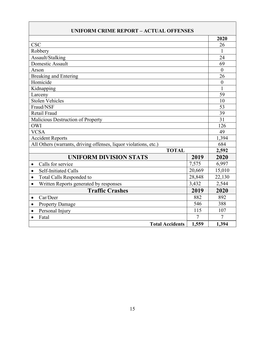| <b>UNIFORM CRIME REPORT - ACTUAL OFFENSES</b>                    |        |                  |  |  |
|------------------------------------------------------------------|--------|------------------|--|--|
|                                                                  |        | 2020             |  |  |
| <b>CSC</b>                                                       |        | 26               |  |  |
| Robbery                                                          |        | 1                |  |  |
| Assault/Stalking                                                 |        | 24               |  |  |
| Domestic Assault                                                 |        | 69               |  |  |
| Arson                                                            |        | $\boldsymbol{0}$ |  |  |
| <b>Breaking and Entering</b>                                     |        | 26               |  |  |
| Homicide                                                         |        | $\boldsymbol{0}$ |  |  |
| Kidnapping                                                       |        | $\mathbf{1}$     |  |  |
| Larceny                                                          |        | 59               |  |  |
| Stolen Vehicles                                                  |        | 10               |  |  |
| Fraud/NSF                                                        |        | 53               |  |  |
| Retail Fraud                                                     |        | 39               |  |  |
| Malicious Destruction of Property                                |        | 31               |  |  |
| <b>OWI</b>                                                       |        | 126              |  |  |
| <b>VCSA</b>                                                      |        | 49               |  |  |
| <b>Accident Reports</b>                                          |        | 1,394            |  |  |
| All Others (warrants, driving offenses, liquor violations, etc.) |        | 684              |  |  |
| <b>TOTAL</b>                                                     |        | 2,592            |  |  |
| <b>UNIFORM DIVISION STATS</b>                                    | 2019   | 2020             |  |  |
| Calls for service<br>$\bullet$                                   | 7,575  | 6,997            |  |  |
| <b>Self-Initiated Calls</b><br>$\bullet$                         | 20,669 | 15,010           |  |  |
| Total Calls Responded to<br>$\bullet$                            | 28,848 | 22,130           |  |  |
| Written Reports generated by responses<br>$\bullet$              | 3,432  | 2,544            |  |  |
| <b>Traffic Crashes</b>                                           | 2019   | 2020             |  |  |
| Car/Deer<br>$\bullet$                                            | 882    | 892              |  |  |
| <b>Property Damage</b><br>$\bullet$                              | 546    | 388              |  |  |
| Personal Injury<br>$\bullet$                                     | 115    | 107              |  |  |
| Fatal<br>$\bullet$                                               | 7      | 7                |  |  |
| <b>Total Accidents</b>                                           | 1,559  | 1,394            |  |  |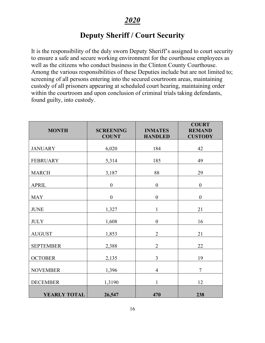# **Deputy Sheriff / Court Security**

It is the responsibility of the duly sworn Deputy Sheriff's assigned to court security to ensure a safe and secure working environment for the courthouse employees as well as the citizens who conduct business in the Clinton County Courthouse. Among the various responsibilities of these Deputies include but are not limited to; screening of all persons entering into the secured courtroom areas, maintaining custody of all prisoners appearing at scheduled court hearing, maintaining order within the courtroom and upon conclusion of criminal trials taking defendants, found guilty, into custody.

| <b>MONTH</b>     | <b>SCREENING</b><br><b>COUNT</b> | <b>INMATES</b><br><b>HANDLED</b> | <b>COURT</b><br><b>REMAND</b><br><b>CUSTODY</b> |
|------------------|----------------------------------|----------------------------------|-------------------------------------------------|
| <b>JANUARY</b>   | 6,020                            | 184                              | 42                                              |
| <b>FEBRUARY</b>  | 5,314                            | 185                              | 49                                              |
| <b>MARCH</b>     | 3,187                            | 88                               | 29                                              |
| <b>APRIL</b>     | $\boldsymbol{0}$                 | $\boldsymbol{0}$                 | $\boldsymbol{0}$                                |
| <b>MAY</b>       | $\boldsymbol{0}$                 | $\boldsymbol{0}$                 | $\boldsymbol{0}$                                |
| <b>JUNE</b>      | 1,327                            | $\mathbf{1}$                     | 21                                              |
| <b>JULY</b>      | 1,608                            | $\boldsymbol{0}$                 | 16                                              |
| <b>AUGUST</b>    | 1,853                            | $\overline{2}$                   | 21                                              |
| <b>SEPTEMBER</b> | 2,388                            | $\overline{2}$                   | 22                                              |
| <b>OCTOBER</b>   | 2,135                            | 3                                | 19                                              |
| <b>NOVEMBER</b>  | 1,396                            | $\overline{4}$                   | $\tau$                                          |
| <b>DECEMBER</b>  | 1,3190                           | $\mathbf{1}$                     | 12                                              |
| YEARLY TOTAL     | 26,547                           | 470                              | 238                                             |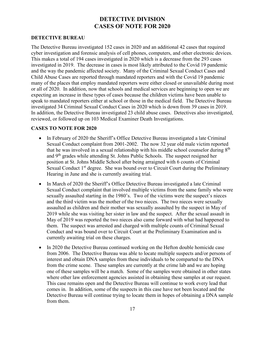## **DETECTIVE DIVISION CASES OF NOTE FOR 2020**

#### **DETECTIVE BUREAU**

The Detective Bureau investigated 152 cases in 2020 and an additional 42 cases that required cyber investigation and forensic analysis of cell phones, computers, and other electronic devices. This makes a total of 194 cases investigated in 2020 which is a decrease from the 293 cases investigated in 2019. The decrease in cases is most likely attributed to the Covid 19 pandemic and the way the pandemic affected society. Many of the Criminal Sexual Conduct Cases and Child Abuse Cases are reported through mandated reporters and with the Covid 19 pandemic many of the places that employ mandated reporters were either closed or unavailable during most or all of 2020. In addition, now that schools and medical services are beginning to open we are expecting an increase in these types of cases because the children victims have been unable to speak to mandated reporters either at school or those in the medical field. The Detective Bureau investigated 34 Criminal Sexual Conduct Cases in 2020 which is down from 39 cases in 2019. In addition, the Detective Bureau investigated 23 child abuse cases. Detectives also investigated, reviewed, or followed up on 103 Medical Examiner Death Investigations.

#### **CASES TO NOTE FOR 2020**

- In February of 2020 the Sheriff's Office Detective Bureau investigated a late Criminal Sexual Conduct complaint from 2001-2002. The now 32 year old male victim reported that he was involved in a sexual relationship with his middle school counselor during  $8<sup>th</sup>$ and  $9<sup>th</sup>$  grades while attending St. Johns Public Schools. The suspect resigned her position at St. Johns Middle School after being arraigned with 6 counts of Criminal Sexual Conduct  $1<sup>st</sup>$  degree. She was bound over to Circuit Court during the Preliminary Hearing in June and she is currently awaiting trial.
- In March of 2020 the Sheriff's Office Detective Bureau investigated a late Criminal Sexual Conduct complaint that involved multiple victims from the same family who were sexually assaulted starting in the 1980's. Two of the victims were the suspect's nieces and the third victim was the mother of the two nieces. The two nieces were sexually assaulted as children and their mother was sexually assaulted by the suspect in May of 2019 while she was visiting her sister in law and the suspect. After the sexual assault in May of 2019 was reported the two nieces also came forward with what had happened to them. The suspect was arrested and charged with multiple counts of Criminal Sexual Conduct and was bound over to Circuit Court at the Preliminary Examination and is currently awaiting trial on these charges.
- In 2020 the Detective Bureau continued working on the Hefton double homicide case from 2006. The Detective Bureau was able to locate multiple suspects and/or persons of interest and obtain DNA samples from these individuals to be comparted to the DNA from the crime scene. These samples are currently at the crime lab and we are hoping one of these samples will be a match. Some of the samples were obtained in other states where other law enforcement agencies assisted in obtaining these samples at our request. This case remains open and the Detective Bureau will continue to work every lead that comes in. In addition, some of the suspects in this case have not been located and the Detective Bureau will continue trying to locate them in hopes of obtaining a DNA sample from them.